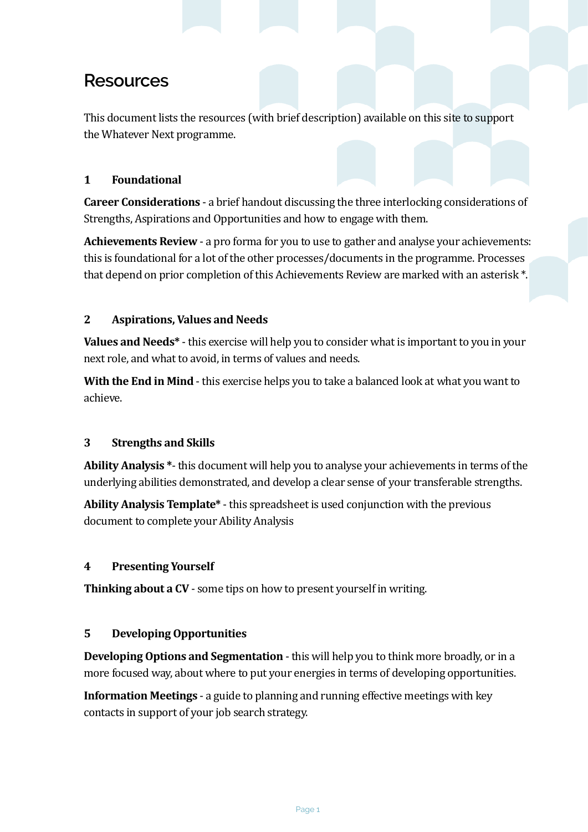# **Resources**

This document lists the resources (with brief description) available on this site to support the Whatever Next programme.

## **1 Foundational**

**Career Considerations** - a brief handout discussing the three interlocking considerations of Strengths, Aspirations and Opportunities and how to engage with them.

**Achievements Review** - a pro forma for you to use to gather and analyse your achievements: this is foundational for a lot of the other processes/documents in the programme. Processes that depend on prior completion of this Achievements Review are marked with an asterisk \*.

## **2** Aspirations, Values and Needs

**Values and Needs<sup>\*</sup>** - this exercise will help you to consider what is important to you in your next role, and what to avoid, in terms of values and needs.

**With the End in Mind** - this exercise helps you to take a balanced look at what you want to achieve. 

#### **3** Strengths and Skills

**Ability Analysis** \*- this document will help you to analyse your achievements in terms of the underlying abilities demonstrated, and develop a clear sense of your transferable strengths.

**Ability Analysis Template\*** - this spreadsheet is used conjunction with the previous document to complete your Ability Analysis

#### **4 Presenting Yourself**

**Thinking about a CV** - some tips on how to present yourself in writing.

#### **5** Developing Opportunities

**Developing Options and Segmentation** - this will help you to think more broadly, or in a more focused way, about where to put your energies in terms of developing opportunities.

**Information Meetings** - a guide to planning and running effective meetings with key contacts in support of your job search strategy.